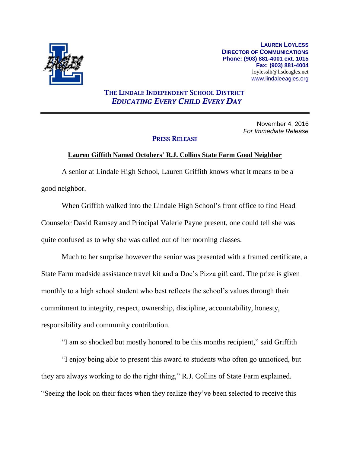

**LAUREN LOYLESS DIRECTOR OF COMMUNICATIONS Phone: (903) 881-4001 ext. 1015 Fax: (903) 881-4004** loylesslh@lisdeagles.net www.lindaleeagles.org

## **THE LINDALE INDEPENDENT SCHOOL DISTRICT** *EDUCATING EVERY CHILD EVERY DAY*

November 4, 2016 *For Immediate Release*

## **PRESS RELEASE**

## **Lauren Giffith Named Octobers' R.J. Collins State Farm Good Neighbor**

A senior at Lindale High School, Lauren Griffith knows what it means to be a good neighbor.

When Griffith walked into the Lindale High School's front office to find Head Counselor David Ramsey and Principal Valerie Payne present, one could tell she was quite confused as to why she was called out of her morning classes.

Much to her surprise however the senior was presented with a framed certificate, a State Farm roadside assistance travel kit and a Doc's Pizza gift card. The prize is given monthly to a high school student who best reflects the school's values through their commitment to integrity, respect, ownership, discipline, accountability, honesty, responsibility and community contribution.

"I am so shocked but mostly honored to be this months recipient," said Griffith

"I enjoy being able to present this award to students who often go unnoticed, but they are always working to do the right thing," R.J. Collins of State Farm explained. "Seeing the look on their faces when they realize they've been selected to receive this